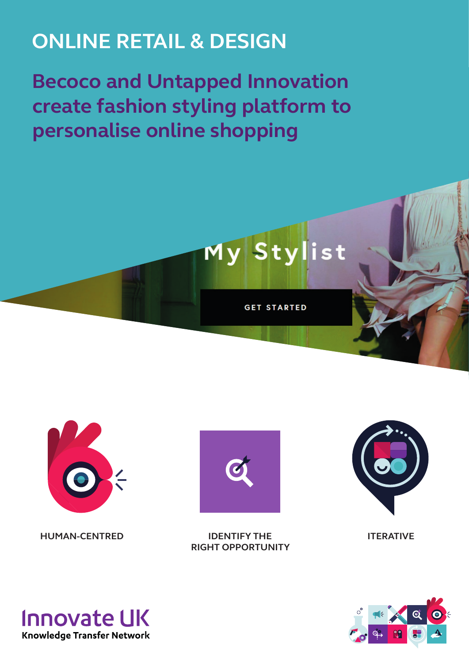# **ONLINE RETAIL & DESIGN**

 **Becoco and Untapped Innovation create fashion styling platform to personalise online shopping**



![](_page_0_Picture_3.jpeg)

**HUMAN-CENTRED**

![](_page_0_Picture_5.jpeg)

**IDENTIFY THE ITERATIVE RIGHT OPPORTUNITY**

![](_page_0_Picture_7.jpeg)

![](_page_0_Picture_9.jpeg)

![](_page_0_Picture_10.jpeg)